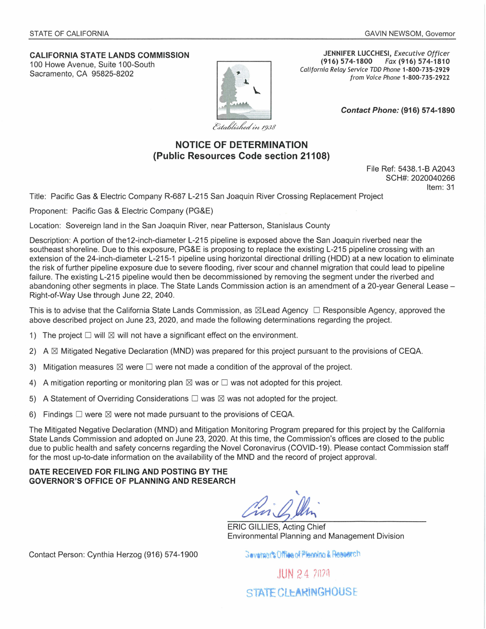## **CALIFORNIA STATE LANDS COMMISSION**  100 Howe Avenue, Suite 100-South Sacramento, CA 95825-8202

**JENNIFER LUCCHESI,** Executive Officer **(916) 574-1800** Fax **(916) 574-1810**  California Relay Service TDD Phone **1-800-735-2929**  from Voice Phone **1-800-735-2922** 

**Contact Phone: (916) 57 4-1890** 

Established in 1938

## **NOTICE OF DETERMINATION (Public Resources Code section 21108)**

File Ref: 5438.1-B A2043 SCH#: 2020040266 Item: 31

Title: Pacific Gas & Electric Company R-687 L-215 San Joaquin River Crossing Replacement Project

Proponent: Pacific Gas & Electric Company (PG&E)

Location: Sovereign land in the San Joaquin River, near Patterson, Stanislaus County

Description: A portion of the12-inch-diameter L-215 pipeline is exposed above the San Joaquin riverbed near the southeast shoreline. Due to this exposure, PG&E is proposing to replace the existing L-215 pipeline crossing with an extension of the 24-inch-diameter L-215-1 pipeline using horizontal directional drilling (HOD) at a new location to eliminate the risk of further pipeline exposure due to severe flooding, river scour and channel migration that could lead to pipeline failure. The existing L-215 pipeline would then be decommissioned by removing the segment under the riverbed and abandoning other segments in place. The State Lands Commission action is an amendment of a 20-year General Lease -Right-of-Way Use through June 22, 2040.

This is to advise that the California State Lands Commission, as  $\boxtimes$  Lead Agency  $\Box$  Responsible Agency, approved the above described project on June 23, 2020, and made the following determinations regarding the project.

- 1) The project  $\Box$  will  $\boxtimes$  will not have a significant effect on the environment.
- 2) A  $\boxtimes$  Mitigated Negative Declaration (MND) was prepared for this project pursuant to the provisions of CEQA.
- 3) Mitigation measures  $\boxtimes$  were  $\square$  were not made a condition of the approval of the project.
- 4) A mitigation reporting or monitoring plan  $\boxtimes$  was or  $\square$  was not adopted for this project.
- 5) A Statement of Overriding Considerations  $\square$  was  $\boxtimes$  was not adopted for the project.
- 6) Findings  $\Box$  were  $\boxtimes$  were not made pursuant to the provisions of CEQA.

The Mitigated Negative Declaration (MND) and Mitigation Monitoring Program prepared for this project by the California State Lands Commission and adopted on June 23, 2020. At this time, the Commission's offices are closed to the public due to public health and safety concerns regarding the Novel Coronavirus (COVID-19). Please contact Commission staff for the most up-to-date information on the availability of the MND and the record of project approval.

**DATE RECEIVED FOR FILING AND POSTING BY THE GOVERNOR'S OFFICE OF PLANNING AND RESEARCH** 

ERIC GILLIES, Acting Chief Environmental Planning and Management Division

Contact Person: Cynthia Herzog (916) 574-1900

Geveraging Office of Plenning & Research

JUN 2 4 ?n7n STATE CL**LARINGHOUSE**